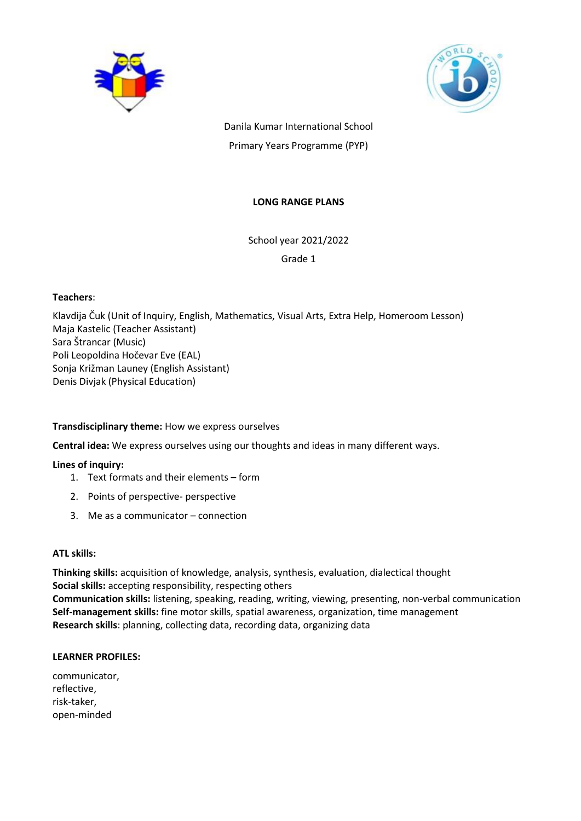



Danila Kumar International School Primary Years Programme (PYP)

### **LONG RANGE PLANS**

School year 2021/2022

Grade 1

### **Teachers**:

Klavdija Čuk (Unit of Inquiry, English, Mathematics, Visual Arts, Extra Help, Homeroom Lesson) Maja Kastelic (Teacher Assistant) Sara Štrancar (Music) Poli Leopoldina Hočevar Eve (EAL) Sonja Križman Launey (English Assistant) Denis Divjak (Physical Education)

### **Transdisciplinary theme:** How we express ourselves

**Central idea:** We express ourselves using our thoughts and ideas in many different ways.

# **Lines of inquiry:**

- 1. Text formats and their elements form
- 2. Points of perspective- perspective
- 3. Me as a communicator connection

### **ATL skills:**

**Thinking skills:** acquisition of knowledge, analysis, synthesis, evaluation, dialectical thought **Social skills:** accepting responsibility, respecting others **Communication skills:** listening, speaking, reading, writing, viewing, presenting, non-verbal communication **Self-management skills:** fine motor skills, spatial awareness, organization, time management **Research skills**: planning, collecting data, recording data, organizing data

### **LEARNER PROFILES:**

| communicator, |
|---------------|
| reflective,   |
| risk-taker,   |
| open-minded   |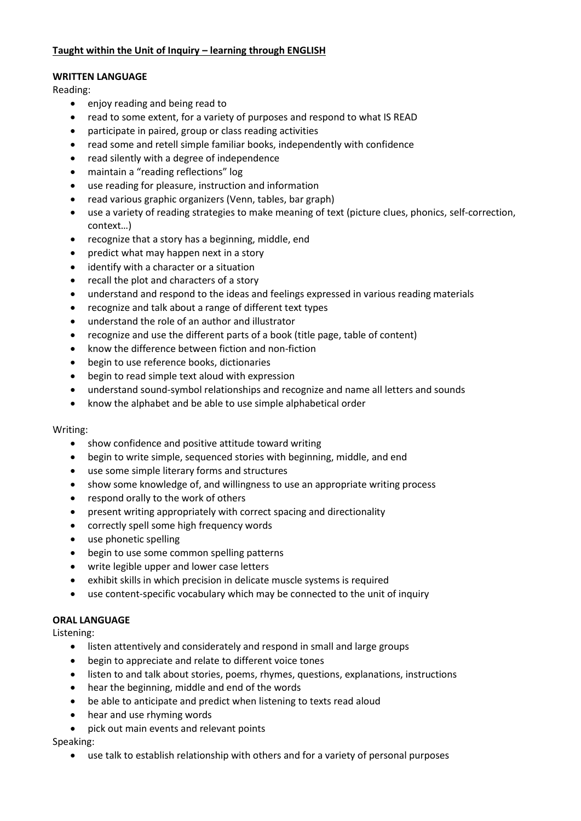# **Taught within the Unit of Inquiry – learning through ENGLISH**

# **WRITTEN LANGUAGE**

Reading:

- enjoy reading and being read to
- read to some extent, for a variety of purposes and respond to what IS READ
- participate in paired, group or class reading activities
- read some and retell simple familiar books, independently with confidence
- read silently with a degree of independence
- maintain a "reading reflections" log
- use reading for pleasure, instruction and information
- read various graphic organizers (Venn, tables, bar graph)
- use a variety of reading strategies to make meaning of text (picture clues, phonics, self-correction, context…)
- recognize that a story has a beginning, middle, end
- predict what may happen next in a story
- identify with a character or a situation
- recall the plot and characters of a story
- understand and respond to the ideas and feelings expressed in various reading materials
- recognize and talk about a range of different text types
- understand the role of an author and illustrator
- recognize and use the different parts of a book (title page, table of content)
- know the difference between fiction and non-fiction
- begin to use reference books, dictionaries
- begin to read simple text aloud with expression
- understand sound-symbol relationships and recognize and name all letters and sounds
- know the alphabet and be able to use simple alphabetical order

#### Writing:

- show confidence and positive attitude toward writing
- begin to write simple, sequenced stories with beginning, middle, and end
- use some simple literary forms and structures
- show some knowledge of, and willingness to use an appropriate writing process
- respond orally to the work of others
- present writing appropriately with correct spacing and directionality
- correctly spell some high frequency words
- use phonetic spelling
- begin to use some common spelling patterns
- write legible upper and lower case letters
- exhibit skills in which precision in delicate muscle systems is required
- use content-specific vocabulary which may be connected to the unit of inquiry

### **ORAL LANGUAGE**

Listening:

- listen attentively and considerately and respond in small and large groups
- begin to appreciate and relate to different voice tones
- listen to and talk about stories, poems, rhymes, questions, explanations, instructions
- hear the beginning, middle and end of the words
- be able to anticipate and predict when listening to texts read aloud
- hear and use rhyming words
- pick out main events and relevant points

Speaking:

use talk to establish relationship with others and for a variety of personal purposes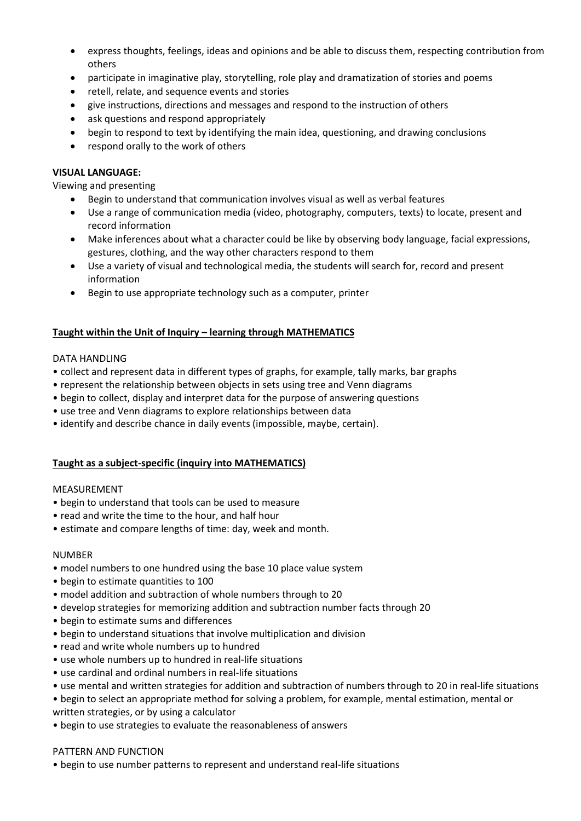- express thoughts, feelings, ideas and opinions and be able to discuss them, respecting contribution from others
- participate in imaginative play, storytelling, role play and dramatization of stories and poems
- retell, relate, and sequence events and stories
- give instructions, directions and messages and respond to the instruction of others
- ask questions and respond appropriately
- begin to respond to text by identifying the main idea, questioning, and drawing conclusions
- respond orally to the work of others

### **VISUAL LANGUAGE:**

Viewing and presenting

- Begin to understand that communication involves visual as well as verbal features
- Use a range of communication media (video, photography, computers, texts) to locate, present and record information
- Make inferences about what a character could be like by observing body language, facial expressions, gestures, clothing, and the way other characters respond to them
- Use a variety of visual and technological media, the students will search for, record and present information
- Begin to use appropriate technology such as a computer, printer

### **Taught within the Unit of Inquiry – learning through MATHEMATICS**

### DATA HANDLING

- collect and represent data in different types of graphs, for example, tally marks, bar graphs
- represent the relationship between objects in sets using tree and Venn diagrams
- begin to collect, display and interpret data for the purpose of answering questions
- use tree and Venn diagrams to explore relationships between data
- identify and describe chance in daily events (impossible, maybe, certain).

### **Taught as a subject-specific (inquiry into MATHEMATICS)**

### MEASUREMENT

- begin to understand that tools can be used to measure
- read and write the time to the hour, and half hour
- estimate and compare lengths of time: day, week and month.

### NUMBER

- model numbers to one hundred using the base 10 place value system
- begin to estimate quantities to 100
- model addition and subtraction of whole numbers through to 20
- develop strategies for memorizing addition and subtraction number facts through 20
- begin to estimate sums and differences
- begin to understand situations that involve multiplication and division
- read and write whole numbers up to hundred
- use whole numbers up to hundred in real-life situations
- use cardinal and ordinal numbers in real-life situations
- use mental and written strategies for addition and subtraction of numbers through to 20 in real-life situations
- begin to select an appropriate method for solving a problem, for example, mental estimation, mental or written strategies, or by using a calculator
- begin to use strategies to evaluate the reasonableness of answers

### PATTERN AND FUNCTION

• begin to use number patterns to represent and understand real-life situations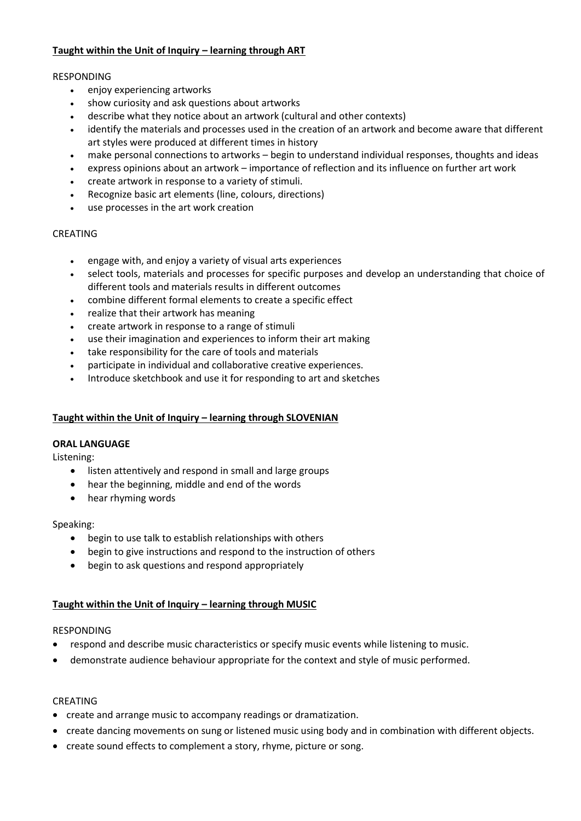# **Taught within the Unit of Inquiry – learning through ART**

### RESPONDING

- enjoy experiencing artworks
- show curiosity and ask questions about artworks
- describe what they notice about an artwork (cultural and other contexts)
- identify the materials and processes used in the creation of an artwork and become aware that different art styles were produced at different times in history
- make personal connections to artworks begin to understand individual responses, thoughts and ideas
- express opinions about an artwork importance of reflection and its influence on further art work
- create artwork in response to a variety of stimuli.
- Recognize basic art elements (line, colours, directions)
- use processes in the art work creation

### CREATING

- engage with, and enjoy a variety of visual arts experiences
- select tools, materials and processes for specific purposes and develop an understanding that choice of different tools and materials results in different outcomes
- combine different formal elements to create a specific effect
- realize that their artwork has meaning
- create artwork in response to a range of stimuli
- use their imagination and experiences to inform their art making
- take responsibility for the care of tools and materials
- participate in individual and collaborative creative experiences.
- Introduce sketchbook and use it for responding to art and sketches

# **Taught within the Unit of Inquiry – learning through SLOVENIAN**

### **ORAL LANGUAGE**

Listening:

- listen attentively and respond in small and large groups
- hear the beginning, middle and end of the words
- hear rhyming words

### Speaking:

- begin to use talk to establish relationships with others
- begin to give instructions and respond to the instruction of others
- begin to ask questions and respond appropriately

# **Taught within the Unit of Inquiry – learning through MUSIC**

### RESPONDING

- respond and describe music characteristics or specify music events while listening to music.
- demonstrate audience behaviour appropriate for the context and style of music performed.

### CREATING

- create and arrange music to accompany readings or dramatization.
- create dancing movements on sung or listened music using body and in combination with different objects.
- create sound effects to complement a story, rhyme, picture or song.